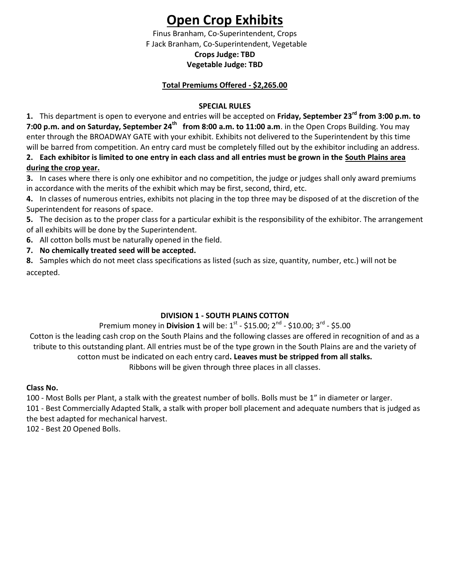# **Open Crop Exhibits**

Finus Branham, Co-Superintendent, Crops F Jack Branham, Co-Superintendent, Vegetable **Crops Judge: TBD Vegetable Judge: TBD**

# **Total Premiums Offered - \$2,265.00**

## **SPECIAL RULES**

**1.** This department is open to everyone and entries will be accepted on **Friday, September 23rd from 3:00 p.m. to 7:00 p.m. and on Saturday, September 24th from 8:00 a.m. to 11:00 a.m**. in the Open Crops Building. You may enter through the BROADWAY GATE with your exhibit. Exhibits not delivered to the Superintendent by this time will be barred from competition. An entry card must be completely filled out by the exhibitor including an address.

**2. Each exhibitor is limited to one entry in each class and all entries must be grown in the South Plains area during the crop year.**

**3.** In cases where there is only one exhibitor and no competition, the judge or judges shall only award premiums in accordance with the merits of the exhibit which may be first, second, third, etc.

**4.** In classes of numerous entries, exhibits not placing in the top three may be disposed of at the discretion of the Superintendent for reasons of space.

**5.** The decision as to the proper class for a particular exhibit is the responsibility of the exhibitor. The arrangement of all exhibits will be done by the Superintendent.

**6.** All cotton bolls must be naturally opened in the field.

**7. No chemically treated seed will be accepted.** 

**8.** Samples which do not meet class specifications as listed (such as size, quantity, number, etc.) will not be accepted.

# **DIVISION 1 - SOUTH PLAINS COTTON**

Premium money in **Division 1** will be: 1<sup>st</sup> - \$15.00; 2<sup>nd</sup> - \$10.00; 3<sup>rd</sup> - \$5.00

Cotton is the leading cash crop on the South Plains and the following classes are offered in recognition of and as a tribute to this outstanding plant. All entries must be of the type grown in the South Plains are and the variety of cotton must be indicated on each entry card**. Leaves must be stripped from all stalks.** Ribbons will be given through three places in all classes.

## **Class No.**

100 - Most Bolls per Plant, a stalk with the greatest number of bolls. Bolls must be 1" in diameter or larger.

101 - Best Commercially Adapted Stalk, a stalk with proper boll placement and adequate numbers that is judged as the best adapted for mechanical harvest.

102 - Best 20 Opened Bolls.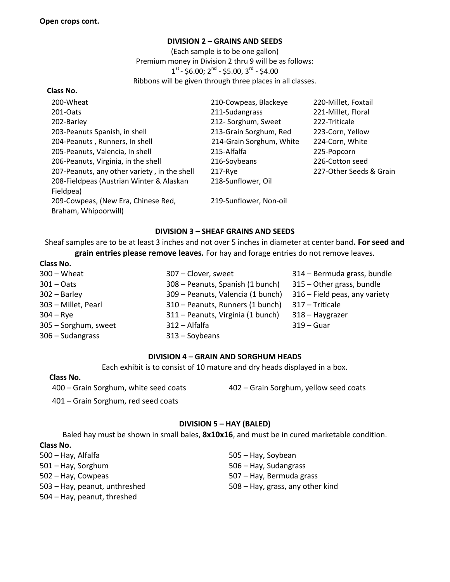#### **DIVISION 2 – GRAINS AND SEEDS**

(Each sample is to be one gallon) Premium money in Division 2 thru 9 will be as follows:  $1^{\text{st}}$  - \$6.00;  $2^{\text{nd}}$  - \$5.00,  $3^{\text{rd}}$  - \$4.00 Ribbons will be given through three places in all classes.

#### **Class No.**

| 200-Wheat                                    | 210-Cowpeas, Blackeye    | 220-Millet, Foxtail     |
|----------------------------------------------|--------------------------|-------------------------|
| 201-Oats                                     | 211-Sudangrass           | 221-Millet, Floral      |
| 202-Barley                                   | 212- Sorghum, Sweet      | 222-Triticale           |
| 203-Peanuts Spanish, in shell                | 213-Grain Sorghum, Red   | 223-Corn, Yellow        |
| 204-Peanuts, Runners, In shell               | 214-Grain Sorghum, White | 224-Corn, White         |
| 205-Peanuts, Valencia, In shell              | 215-Alfalfa              | 225-Popcorn             |
| 206-Peanuts, Virginia, in the shell          | 216-Soybeans             | 226-Cotton seed         |
| 207-Peanuts, any other variety, in the shell | $217$ -Rye               | 227-Other Seeds & Grain |
| 208-Fieldpeas (Austrian Winter & Alaskan     | 218-Sunflower, Oil       |                         |
| Fieldpea)                                    |                          |                         |
| 209-Cowpeas, (New Era, Chinese Red,          | 219-Sunflower, Non-oil   |                         |
| Braham, Whipoorwill)                         |                          |                         |

#### **DIVISION 3 – SHEAF GRAINS AND SEEDS**

Sheaf samples are to be at least 3 inches and not over 5 inches in diameter at center band**. For seed and grain entries please remove leaves.** For hay and forage entries do not remove leaves.

**Class No.**

| $300 - Wh$ eat       | 307 - Clover, sweet               | 314 - Bermuda grass, bundle   |
|----------------------|-----------------------------------|-------------------------------|
| $301 - \text{Oats}$  | 308 - Peanuts, Spanish (1 bunch)  | 315 - Other grass, bundle     |
| $302 -$ Barley       | 309 – Peanuts, Valencia (1 bunch) | 316 - Field peas, any variety |
| 303 - Millet, Pearl  | 310 – Peanuts, Runners (1 bunch)  | 317 – Triticale               |
| $304 - Rye$          | 311 – Peanuts, Virginia (1 bunch) | 318 – Haygrazer               |
| 305 - Sorghum, sweet | 312 - Alfalfa                     | $319 - Guar$                  |
| 306 - Sudangrass     | $313 -$ Soybeans                  |                               |

#### **DIVISION 4 – GRAIN AND SORGHUM HEADS**

Each exhibit is to consist of 10 mature and dry heads displayed in a box.

#### **Class No.**

400 – Grain Sorghum, white seed coats 402 – Grain Sorghum, yellow seed coats

401 – Grain Sorghum, red seed coats

#### **DIVISION 5 – HAY (BALED)**

Baled hay must be shown in small bales, **8x10x16**, and must be in cured marketable condition. **Class No.** 

| 500 – Hay, Alfalfa            | 505 – Hay, Soybean               |
|-------------------------------|----------------------------------|
| 501 – Hay, Sorghum            | 506 – Hay, Sudangrass            |
| 502 - Hay, Cowpeas            | 507 – Hay, Bermuda grass         |
| 503 – Hay, peanut, unthreshed | 508 – Hay, grass, any other kind |
| 504 – Hay, peanut, threshed   |                                  |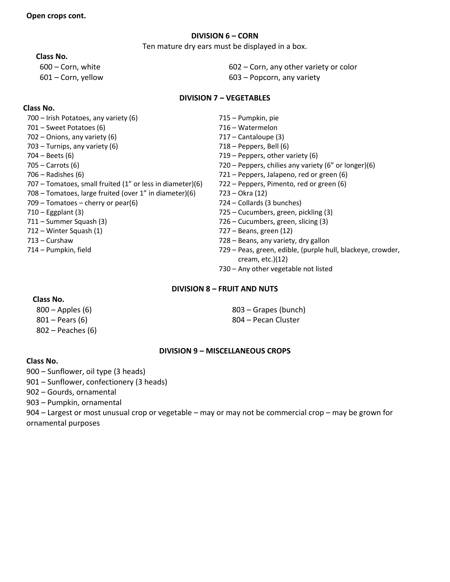#### **DIVISION 6 – CORN**

Ten mature dry ears must be displayed in a box.

# **Class No.**

– Corn, white 602 – Corn, any other variety or color – Corn, yellow 603 – Popcorn, any variety

#### **DIVISION 7 – VEGETABLES**

## **Class No.**

– Irish Potatoes, any variety (6) 715 – Pumpkin, pie – Sweet Potatoes (6) 716 – Watermelon – Onions, any variety (6) 717 – Cantaloupe (3) – Turnips, any variety (6) 718 – Peppers, Bell (6) – Beets (6) 719 – Peppers, other variety (6) – Carrots (6) 720 – Peppers, chilies any variety (6" or longer)(6) – Radishes (6) 721 – Peppers, Jalapeno, red or green (6) – Tomatoes, small fruited (1" or less in diameter)(6) 722 – Peppers, Pimento, red or green (6) – Tomatoes, large fruited (over 1" in diameter)(6) 723 – Okra (12) – Tomatoes – cherry or pear(6) 724 – Collards (3 bunches) – Eggplant (3) 725 – Cucumbers, green, pickling (3) – Summer Squash (3) 726 – Cucumbers, green, slicing (3) – Winter Squash (1) 727 – Beans, green (12) – Curshaw 728 – Beans, any variety, dry gallon

- 
- 
- 
- 
- 
- 
- 
- 
- 
- 
- 
- 
- Pumpkin, field 729 Peas, green, edible, (purple hull, blackeye, crowder, cream, etc.)(12)
	- Any other vegetable not listed

# **Class No.**

– Peaches (6)

– Apples (6) 803 – Grapes (bunch) – Pears (6) 804 – Pecan Cluster

## **DIVISION 9 – MISCELLANEOUS CROPS**

**DIVISION 8 – FRUIT AND NUTS**

## **Class No.**

- Sunflower, oil type (3 heads)
- Sunflower, confectionery (3 heads)
- Gourds, ornamental
- Pumpkin, ornamental

– Largest or most unusual crop or vegetable – may or may not be commercial crop – may be grown for ornamental purposes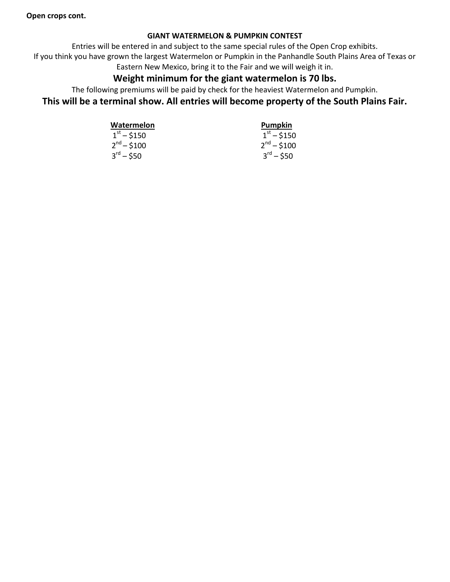#### **GIANT WATERMELON & PUMPKIN CONTEST**

Entries will be entered in and subject to the same special rules of the Open Crop exhibits. If you think you have grown the largest Watermelon or Pumpkin in the Panhandle South Plains Area of Texas or Eastern New Mexico, bring it to the Fair and we will weigh it in.

# **Weight minimum for the giant watermelon is 70 lbs.**

The following premiums will be paid by check for the heaviest Watermelon and Pumpkin.

# **This will be a terminal show. All entries will become property of the South Plains Fair.**

| Watermelon           | Pumpkin               |
|----------------------|-----------------------|
| $1^{\rm st}$ – \$150 | $1^{\rm st}$ – \$150  |
| $2^{nd} - $100$      | $2nd - $100$          |
| $3^{rd} - 550$       | $3^{\text{rd}} - $50$ |